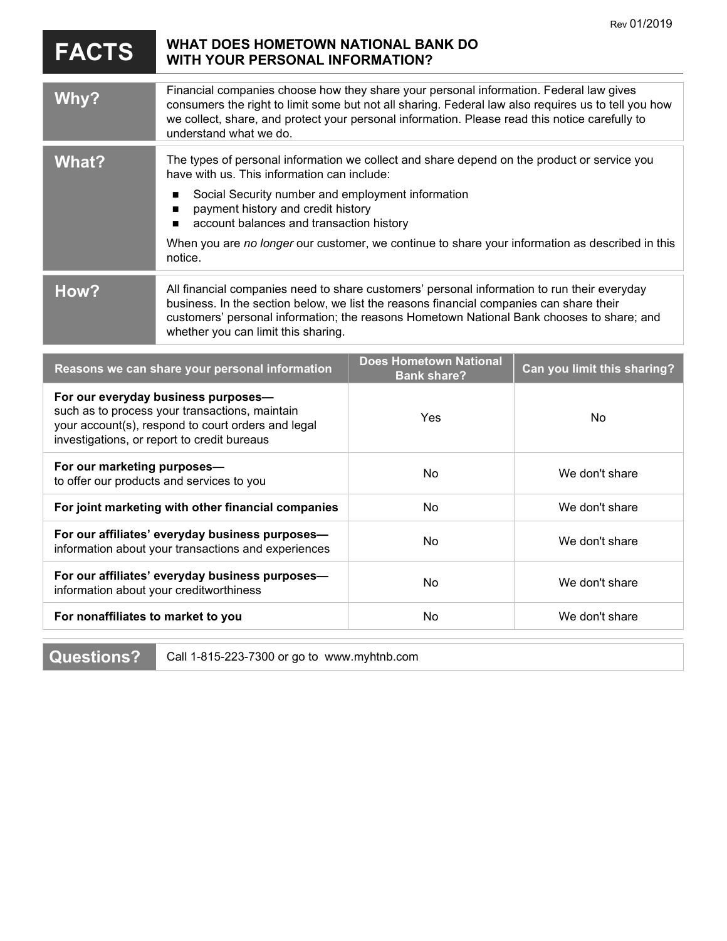|                                                                                                                                                                                            |                                                                                                                                                                                                                                                                                                                                                                                                      |                                                     | Rev 01/2019                 |
|--------------------------------------------------------------------------------------------------------------------------------------------------------------------------------------------|------------------------------------------------------------------------------------------------------------------------------------------------------------------------------------------------------------------------------------------------------------------------------------------------------------------------------------------------------------------------------------------------------|-----------------------------------------------------|-----------------------------|
| <b>FACTS</b>                                                                                                                                                                               | WHAT DOES HOMETOWN NATIONAL BANK DO<br><b>WITH YOUR PERSONAL INFORMATION?</b>                                                                                                                                                                                                                                                                                                                        |                                                     |                             |
| Why?                                                                                                                                                                                       | Financial companies choose how they share your personal information. Federal law gives<br>consumers the right to limit some but not all sharing. Federal law also requires us to tell you how<br>we collect, share, and protect your personal information. Please read this notice carefully to<br>understand what we do.                                                                            |                                                     |                             |
| <b>What?</b>                                                                                                                                                                               | The types of personal information we collect and share depend on the product or service you<br>have with us. This information can include:<br>Social Security number and employment information<br>■<br>payment history and credit history<br>account balances and transaction history<br>When you are no longer our customer, we continue to share your information as described in this<br>notice. |                                                     |                             |
| How?                                                                                                                                                                                       | All financial companies need to share customers' personal information to run their everyday<br>business. In the section below, we list the reasons financial companies can share their<br>customers' personal information; the reasons Hometown National Bank chooses to share; and<br>whether you can limit this sharing.                                                                           |                                                     |                             |
| Reasons we can share your personal information                                                                                                                                             |                                                                                                                                                                                                                                                                                                                                                                                                      | <b>Does Hometown National</b><br><b>Bank share?</b> | Can you limit this sharing? |
| For our everyday business purposes-<br>such as to process your transactions, maintain<br>your account(s), respond to court orders and legal<br>investigations, or report to credit bureaus |                                                                                                                                                                                                                                                                                                                                                                                                      | Yes                                                 | No                          |
| For our marketing purposes-<br>to offer our products and services to you                                                                                                                   |                                                                                                                                                                                                                                                                                                                                                                                                      | No                                                  | We don't share              |
| For joint marketing with other financial companies                                                                                                                                         |                                                                                                                                                                                                                                                                                                                                                                                                      | No                                                  | We don't share              |
| For our affiliates' everyday business purposes-<br>information about your transactions and experiences                                                                                     |                                                                                                                                                                                                                                                                                                                                                                                                      | No                                                  | We don't share              |
| For our affiliates' everyday business purposes-<br>information about your creditworthiness                                                                                                 |                                                                                                                                                                                                                                                                                                                                                                                                      | No                                                  | We don't share              |
| For nonaffiliates to market to you                                                                                                                                                         |                                                                                                                                                                                                                                                                                                                                                                                                      | No                                                  | We don't share              |
|                                                                                                                                                                                            |                                                                                                                                                                                                                                                                                                                                                                                                      |                                                     |                             |

**Questions?** Call 1-815-223-7300 or go to www.myhtnb.com